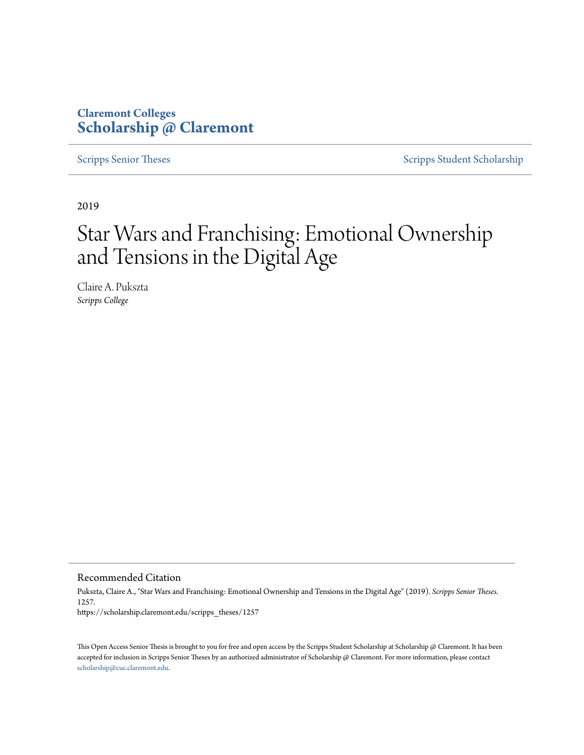# **Claremont Colleges [Scholarship @ Claremont](https://scholarship.claremont.edu)**

[Scripps Senior Theses](https://scholarship.claremont.edu/scripps_theses) [Scripps Student Scholarship](https://scholarship.claremont.edu/scripps_student)

2019

# Star Wars and Franchising: Emotional Ownership and Tensions in the Digital Age

Claire A. Pukszta *Scripps College*

Recommended Citation

Pukszta, Claire A., "Star Wars and Franchising: Emotional Ownership and Tensions in the Digital Age" (2019). *Scripps Senior Theses*. 1257. https://scholarship.claremont.edu/scripps\_theses/1257

This Open Access Senior Thesis is brought to you for free and open access by the Scripps Student Scholarship at Scholarship @ Claremont. It has been accepted for inclusion in Scripps Senior Theses by an authorized administrator of Scholarship @ Claremont. For more information, please contact [scholarship@cuc.claremont.edu.](mailto:scholarship@cuc.claremont.edu)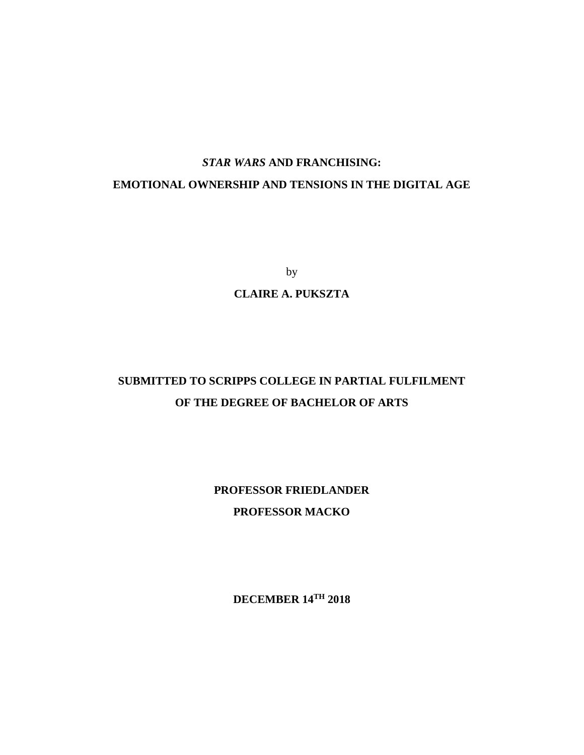# *STAR WARS* **AND FRANCHISING:**

# **EMOTIONAL OWNERSHIP AND TENSIONS IN THE DIGITAL AGE**

by

### **CLAIRE A. PUKSZTA**

# **SUBMITTED TO SCRIPPS COLLEGE IN PARTIAL FULFILMENT OF THE DEGREE OF BACHELOR OF ARTS**

**PROFESSOR FRIEDLANDER PROFESSOR MACKO**

**DECEMBER 14TH 2018**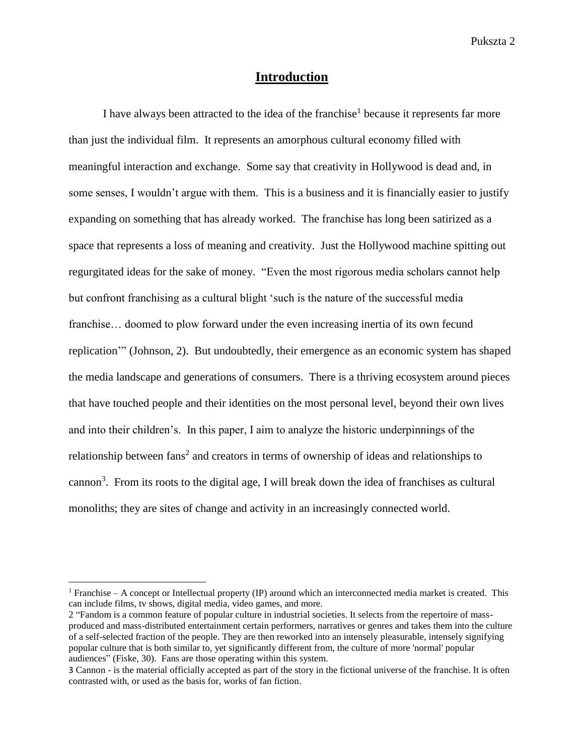# **Introduction**

I have always been attracted to the idea of the franchise<sup>1</sup> because it represents far more than just the individual film. It represents an amorphous cultural economy filled with meaningful interaction and exchange. Some say that creativity in Hollywood is dead and, in some senses, I wouldn't argue with them. This is a business and it is financially easier to justify expanding on something that has already worked. The franchise has long been satirized as a space that represents a loss of meaning and creativity. Just the Hollywood machine spitting out regurgitated ideas for the sake of money. "Even the most rigorous media scholars cannot help but confront franchising as a cultural blight 'such is the nature of the successful media franchise… doomed to plow forward under the even increasing inertia of its own fecund replication'" (Johnson, 2). But undoubtedly, their emergence as an economic system has shaped the media landscape and generations of consumers. There is a thriving ecosystem around pieces that have touched people and their identities on the most personal level, beyond their own lives and into their children's. In this paper, I aim to analyze the historic underpinnings of the relationship between fans<sup>2</sup> and creators in terms of ownership of ideas and relationships to cannon<sup>3</sup>. From its roots to the digital age, I will break down the idea of franchises as cultural monoliths; they are sites of change and activity in an increasingly connected world.

 $\overline{\phantom{a}}$ 

 $1$  Franchise – A concept or Intellectual property (IP) around which an interconnected media market is created. This can include films, tv shows, digital media, video games, and more.

<sup>2</sup> "Fandom is a common feature of popular culture in industrial societies. It selects from the repertoire of massproduced and mass-distributed entertainment certain performers, narratives or genres and takes them into the culture of a self-selected fraction of the people. They are then reworked into an intensely pleasurable, intensely signifying popular culture that is both similar to, yet significantly different from, the culture of more 'normal' popular audiences" (Fiske, 30). Fans are those operating within this system.

<sup>3</sup> Cannon - is the material officially accepted as part of the story in the fictional universe of the franchise. It is often contrasted with, or used as the basis for, works of fan fiction.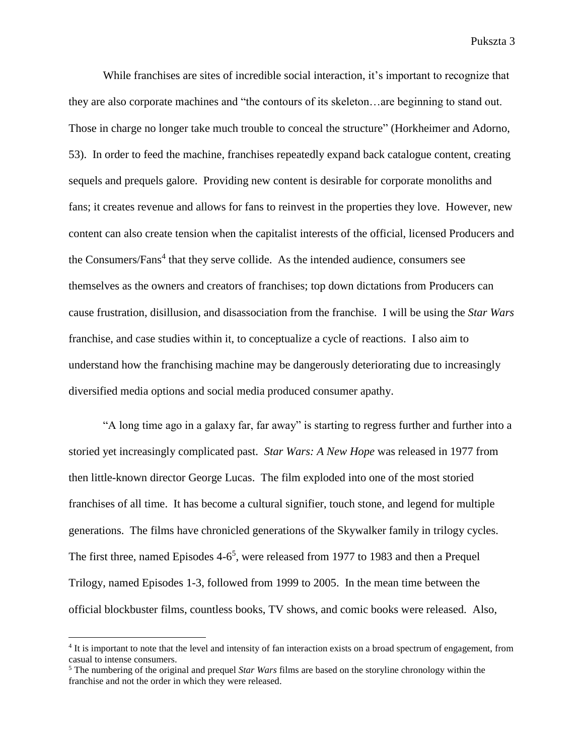While franchises are sites of incredible social interaction, it's important to recognize that they are also corporate machines and "the contours of its skeleton…are beginning to stand out. Those in charge no longer take much trouble to conceal the structure" (Horkheimer and Adorno, 53). In order to feed the machine, franchises repeatedly expand back catalogue content, creating sequels and prequels galore. Providing new content is desirable for corporate monoliths and fans; it creates revenue and allows for fans to reinvest in the properties they love. However, new content can also create tension when the capitalist interests of the official, licensed Producers and the Consumers/Fans<sup>4</sup> that they serve collide. As the intended audience, consumers see themselves as the owners and creators of franchises; top down dictations from Producers can cause frustration, disillusion, and disassociation from the franchise. I will be using the *Star Wars* franchise, and case studies within it, to conceptualize a cycle of reactions. I also aim to understand how the franchising machine may be dangerously deteriorating due to increasingly diversified media options and social media produced consumer apathy.

"A long time ago in a galaxy far, far away" is starting to regress further and further into a storied yet increasingly complicated past. *Star Wars: A New Hope* was released in 1977 from then little-known director George Lucas. The film exploded into one of the most storied franchises of all time. It has become a cultural signifier, touch stone, and legend for multiple generations. The films have chronicled generations of the Skywalker family in trilogy cycles. The first three, named Episodes 4-6<sup>5</sup>, were released from 1977 to 1983 and then a Prequel Trilogy, named Episodes 1-3, followed from 1999 to 2005. In the mean time between the official blockbuster films, countless books, TV shows, and comic books were released. Also,

 $\overline{a}$ 

<sup>&</sup>lt;sup>4</sup> It is important to note that the level and intensity of fan interaction exists on a broad spectrum of engagement, from casual to intense consumers.

<sup>5</sup> The numbering of the original and prequel *Star Wars* films are based on the storyline chronology within the franchise and not the order in which they were released.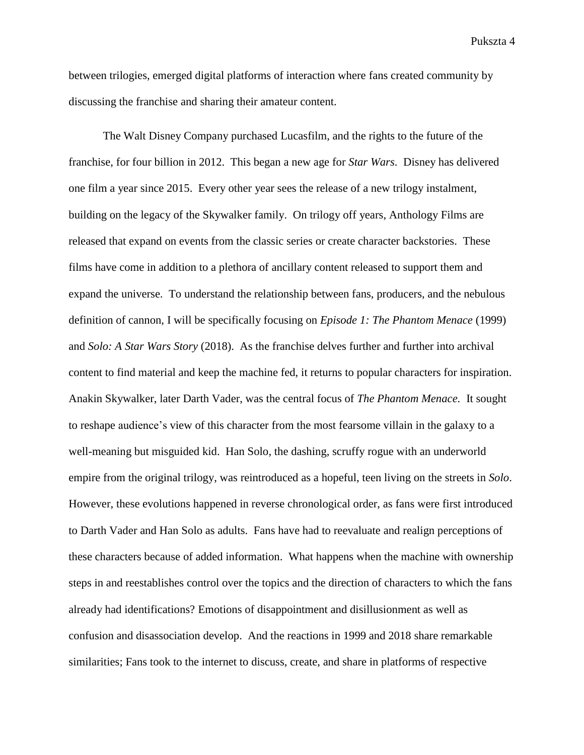between trilogies, emerged digital platforms of interaction where fans created community by discussing the franchise and sharing their amateur content.

The Walt Disney Company purchased Lucasfilm, and the rights to the future of the franchise, for four billion in 2012. This began a new age for *Star Wars*. Disney has delivered one film a year since 2015. Every other year sees the release of a new trilogy instalment, building on the legacy of the Skywalker family. On trilogy off years, Anthology Films are released that expand on events from the classic series or create character backstories. These films have come in addition to a plethora of ancillary content released to support them and expand the universe. To understand the relationship between fans, producers, and the nebulous definition of cannon, I will be specifically focusing on *Episode 1: The Phantom Menace* (1999) and *Solo: A Star Wars Story* (2018). As the franchise delves further and further into archival content to find material and keep the machine fed, it returns to popular characters for inspiration. Anakin Skywalker, later Darth Vader, was the central focus of *The Phantom Menace.* It sought to reshape audience's view of this character from the most fearsome villain in the galaxy to a well-meaning but misguided kid. Han Solo, the dashing, scruffy rogue with an underworld empire from the original trilogy, was reintroduced as a hopeful, teen living on the streets in *Solo*. However, these evolutions happened in reverse chronological order, as fans were first introduced to Darth Vader and Han Solo as adults. Fans have had to reevaluate and realign perceptions of these characters because of added information. What happens when the machine with ownership steps in and reestablishes control over the topics and the direction of characters to which the fans already had identifications? Emotions of disappointment and disillusionment as well as confusion and disassociation develop. And the reactions in 1999 and 2018 share remarkable similarities; Fans took to the internet to discuss, create, and share in platforms of respective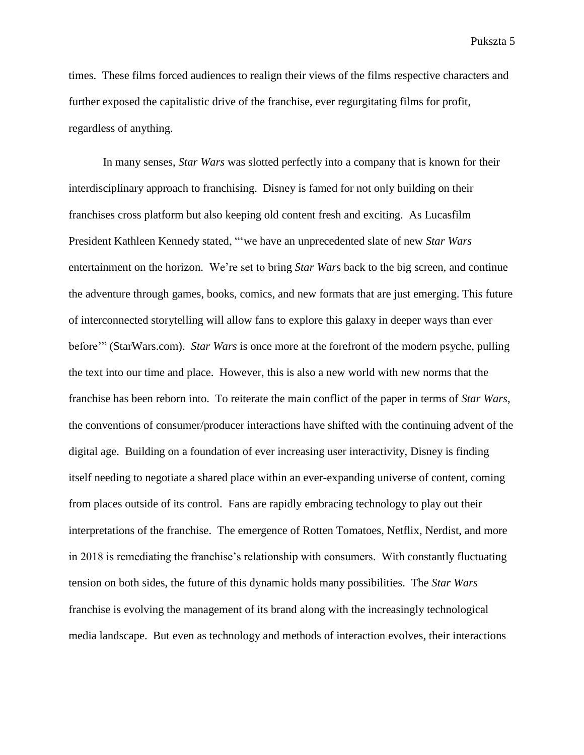times. These films forced audiences to realign their views of the films respective characters and further exposed the capitalistic drive of the franchise, ever regurgitating films for profit, regardless of anything.

In many senses, *Star Wars* was slotted perfectly into a company that is known for their interdisciplinary approach to franchising. Disney is famed for not only building on their franchises cross platform but also keeping old content fresh and exciting. As Lucasfilm President Kathleen Kennedy stated, "'we have an unprecedented slate of new *Star Wars* entertainment on the horizon. We're set to bring *Star War*s back to the big screen, and continue the adventure through games, books, comics, and new formats that are just emerging. This future of interconnected storytelling will allow fans to explore this galaxy in deeper ways than ever before'" (StarWars.com). *Star Wars* is once more at the forefront of the modern psyche, pulling the text into our time and place. However, this is also a new world with new norms that the franchise has been reborn into. To reiterate the main conflict of the paper in terms of *Star Wars*, the conventions of consumer/producer interactions have shifted with the continuing advent of the digital age. Building on a foundation of ever increasing user interactivity, Disney is finding itself needing to negotiate a shared place within an ever-expanding universe of content, coming from places outside of its control. Fans are rapidly embracing technology to play out their interpretations of the franchise. The emergence of Rotten Tomatoes, Netflix, Nerdist, and more in 2018 is remediating the franchise's relationship with consumers. With constantly fluctuating tension on both sides, the future of this dynamic holds many possibilities. The *Star Wars* franchise is evolving the management of its brand along with the increasingly technological media landscape. But even as technology and methods of interaction evolves, their interactions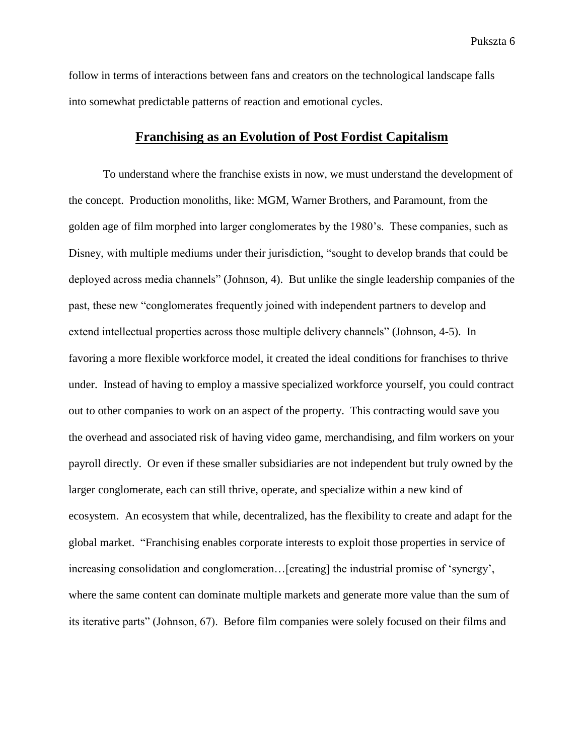follow in terms of interactions between fans and creators on the technological landscape falls into somewhat predictable patterns of reaction and emotional cycles.

## **Franchising as an Evolution of Post Fordist Capitalism**

To understand where the franchise exists in now, we must understand the development of the concept. Production monoliths, like: MGM, Warner Brothers, and Paramount, from the golden age of film morphed into larger conglomerates by the 1980's. These companies, such as Disney, with multiple mediums under their jurisdiction, "sought to develop brands that could be deployed across media channels" (Johnson, 4). But unlike the single leadership companies of the past, these new "conglomerates frequently joined with independent partners to develop and extend intellectual properties across those multiple delivery channels" (Johnson, 4-5). In favoring a more flexible workforce model, it created the ideal conditions for franchises to thrive under. Instead of having to employ a massive specialized workforce yourself, you could contract out to other companies to work on an aspect of the property. This contracting would save you the overhead and associated risk of having video game, merchandising, and film workers on your payroll directly. Or even if these smaller subsidiaries are not independent but truly owned by the larger conglomerate, each can still thrive, operate, and specialize within a new kind of ecosystem. An ecosystem that while, decentralized, has the flexibility to create and adapt for the global market. "Franchising enables corporate interests to exploit those properties in service of increasing consolidation and conglomeration…[creating] the industrial promise of 'synergy', where the same content can dominate multiple markets and generate more value than the sum of its iterative parts" (Johnson, 67). Before film companies were solely focused on their films and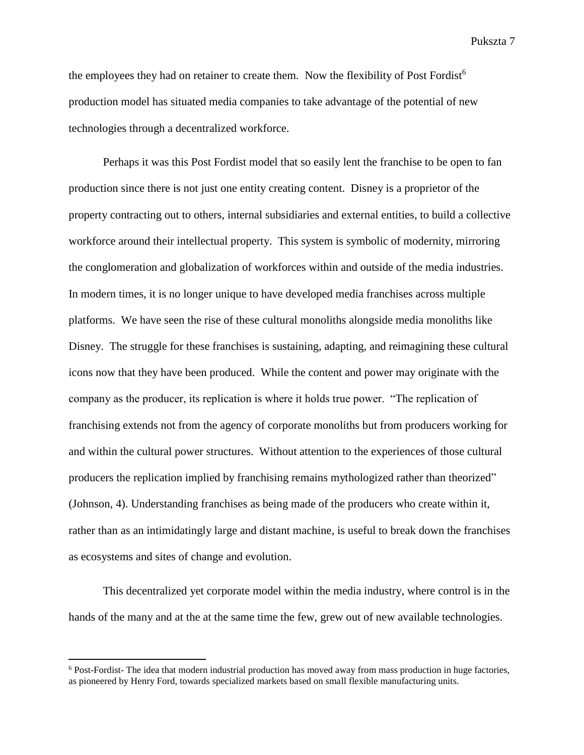the employees they had on retainer to create them. Now the flexibility of Post Fordist<sup>6</sup> production model has situated media companies to take advantage of the potential of new technologies through a decentralized workforce.

Perhaps it was this Post Fordist model that so easily lent the franchise to be open to fan production since there is not just one entity creating content. Disney is a proprietor of the property contracting out to others, internal subsidiaries and external entities, to build a collective workforce around their intellectual property. This system is symbolic of modernity, mirroring the conglomeration and globalization of workforces within and outside of the media industries. In modern times, it is no longer unique to have developed media franchises across multiple platforms. We have seen the rise of these cultural monoliths alongside media monoliths like Disney. The struggle for these franchises is sustaining, adapting, and reimagining these cultural icons now that they have been produced. While the content and power may originate with the company as the producer, its replication is where it holds true power. "The replication of franchising extends not from the agency of corporate monoliths but from producers working for and within the cultural power structures. Without attention to the experiences of those cultural producers the replication implied by franchising remains mythologized rather than theorized" (Johnson, 4). Understanding franchises as being made of the producers who create within it, rather than as an intimidatingly large and distant machine, is useful to break down the franchises as ecosystems and sites of change and evolution.

This decentralized yet corporate model within the media industry, where control is in the hands of the many and at the at the same time the few, grew out of new available technologies.

 $\overline{a}$ 

<sup>6</sup> Post-Fordist- The idea that modern industrial production has moved away from mass production in huge factories, as pioneered by Henry Ford, towards specialized markets based on small flexible manufacturing units.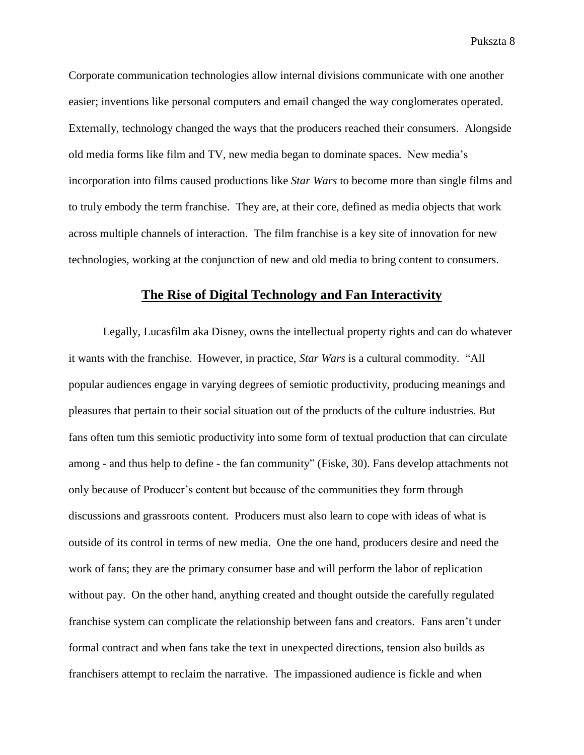Corporate communication technologies allow internal divisions communicate with one another easier; inventions like personal computers and email changed the way conglomerates operated. Externally, technology changed the ways that the producers reached their consumers. Alongside old media forms like film and TV, new media began to dominate spaces. New media's incorporation into films caused productions like *Star Wars* to become more than single films and to truly embody the term franchise. They are, at their core, defined as media objects that work across multiple channels of interaction. The film franchise is a key site of innovation for new technologies, working at the conjunction of new and old media to bring content to consumers.

# **The Rise of Digital Technology and Fan Interactivity**

Legally, Lucasfilm aka Disney, owns the intellectual property rights and can do whatever it wants with the franchise. However, in practice, *Star Wars* is a cultural commodity. "All popular audiences engage in varying degrees of semiotic productivity, producing meanings and pleasures that pertain to their social situation out of the products of the culture industries. But fans often tum this semiotic productivity into some form of textual production that can circulate among - and thus help to define - the fan community" (Fiske, 30). Fans develop attachments not only because of Producer's content but because of the communities they form through discussions and grassroots content. Producers must also learn to cope with ideas of what is outside of its control in terms of new media. One the one hand, producers desire and need the work of fans; they are the primary consumer base and will perform the labor of replication without pay. On the other hand, anything created and thought outside the carefully regulated franchise system can complicate the relationship between fans and creators. Fans aren't under formal contract and when fans take the text in unexpected directions, tension also builds as franchisers attempt to reclaim the narrative. The impassioned audience is fickle and when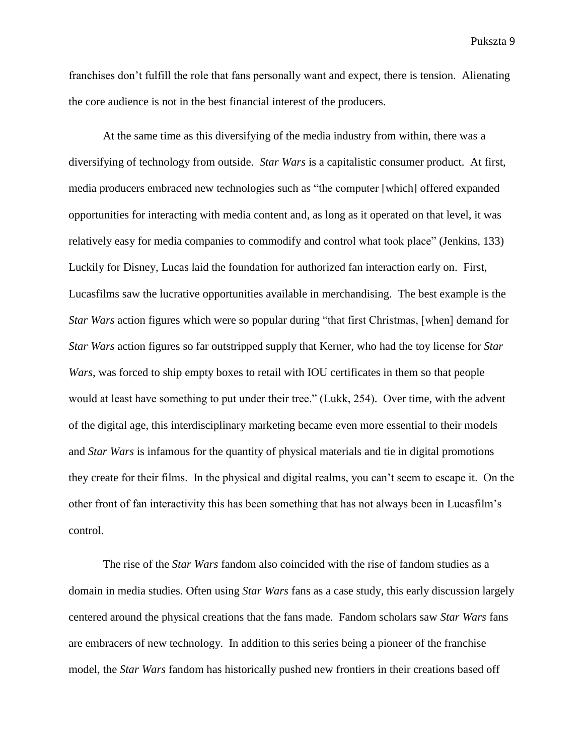franchises don't fulfill the role that fans personally want and expect, there is tension. Alienating the core audience is not in the best financial interest of the producers.

At the same time as this diversifying of the media industry from within, there was a diversifying of technology from outside. *Star Wars* is a capitalistic consumer product. At first, media producers embraced new technologies such as "the computer [which] offered expanded opportunities for interacting with media content and, as long as it operated on that level, it was relatively easy for media companies to commodify and control what took place" (Jenkins, 133) Luckily for Disney, Lucas laid the foundation for authorized fan interaction early on. First, Lucasfilms saw the lucrative opportunities available in merchandising. The best example is the *Star Wars* action figures which were so popular during "that first Christmas, [when] demand for *Star Wars* action figures so far outstripped supply that Kerner, who had the toy license for *Star Wars*, was forced to ship empty boxes to retail with IOU certificates in them so that people would at least have something to put under their tree." (Lukk, 254). Over time, with the advent of the digital age, this interdisciplinary marketing became even more essential to their models and *Star Wars* is infamous for the quantity of physical materials and tie in digital promotions they create for their films. In the physical and digital realms, you can't seem to escape it. On the other front of fan interactivity this has been something that has not always been in Lucasfilm's control.

The rise of the *Star Wars* fandom also coincided with the rise of fandom studies as a domain in media studies. Often using *Star Wars* fans as a case study, this early discussion largely centered around the physical creations that the fans made. Fandom scholars saw *Star Wars* fans are embracers of new technology. In addition to this series being a pioneer of the franchise model, the *Star Wars* fandom has historically pushed new frontiers in their creations based off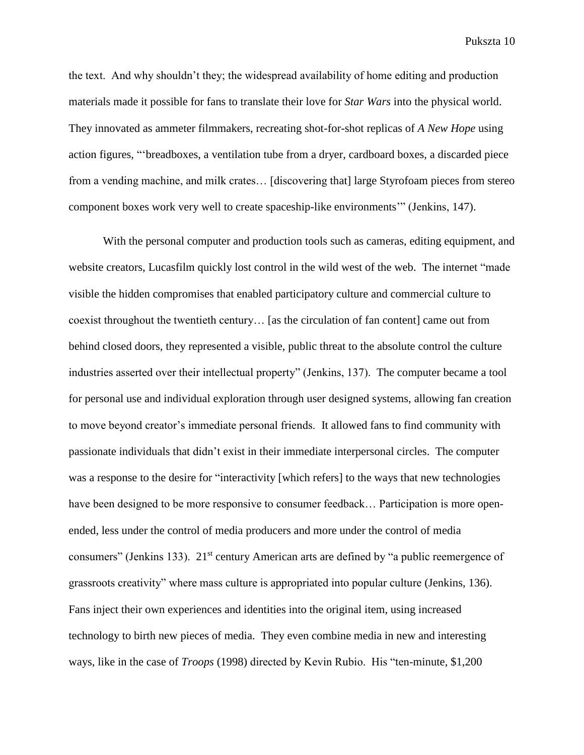the text. And why shouldn't they; the widespread availability of home editing and production materials made it possible for fans to translate their love for *Star Wars* into the physical world. They innovated as ammeter filmmakers, recreating shot-for-shot replicas of *A New Hope* using action figures, "'breadboxes, a ventilation tube from a dryer, cardboard boxes, a discarded piece from a vending machine, and milk crates… [discovering that] large Styrofoam pieces from stereo component boxes work very well to create spaceship-like environments'" (Jenkins, 147).

With the personal computer and production tools such as cameras, editing equipment, and website creators, Lucasfilm quickly lost control in the wild west of the web. The internet "made visible the hidden compromises that enabled participatory culture and commercial culture to coexist throughout the twentieth century… [as the circulation of fan content] came out from behind closed doors, they represented a visible, public threat to the absolute control the culture industries asserted over their intellectual property" (Jenkins, 137). The computer became a tool for personal use and individual exploration through user designed systems, allowing fan creation to move beyond creator's immediate personal friends. It allowed fans to find community with passionate individuals that didn't exist in their immediate interpersonal circles. The computer was a response to the desire for "interactivity [which refers] to the ways that new technologies have been designed to be more responsive to consumer feedback... Participation is more openended, less under the control of media producers and more under the control of media consumers" (Jenkins 133). 21<sup>st</sup> century American arts are defined by "a public reemergence of grassroots creativity" where mass culture is appropriated into popular culture (Jenkins, 136). Fans inject their own experiences and identities into the original item, using increased technology to birth new pieces of media. They even combine media in new and interesting ways, like in the case of *Troops* (1998) directed by Kevin Rubio. His "ten-minute, \$1,200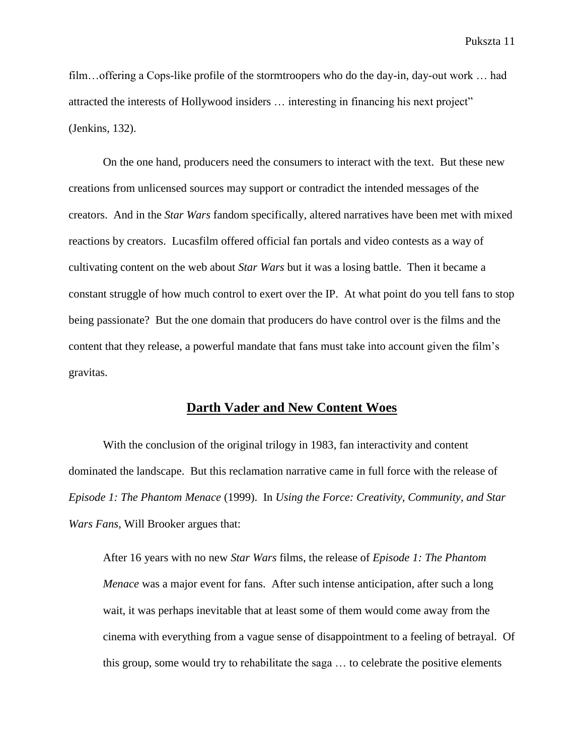film...offering a Cops-like profile of the stormtroopers who do the day-in, day-out work ... had attracted the interests of Hollywood insiders … interesting in financing his next project" (Jenkins, 132).

On the one hand, producers need the consumers to interact with the text. But these new creations from unlicensed sources may support or contradict the intended messages of the creators. And in the *Star Wars* fandom specifically, altered narratives have been met with mixed reactions by creators. Lucasfilm offered official fan portals and video contests as a way of cultivating content on the web about *Star Wars* but it was a losing battle. Then it became a constant struggle of how much control to exert over the IP. At what point do you tell fans to stop being passionate? But the one domain that producers do have control over is the films and the content that they release, a powerful mandate that fans must take into account given the film's gravitas.

#### **Darth Vader and New Content Woes**

With the conclusion of the original trilogy in 1983, fan interactivity and content dominated the landscape. But this reclamation narrative came in full force with the release of *Episode 1: The Phantom Menace* (1999). In *Using the Force: Creativity, Community, and Star Wars Fans*, Will Brooker argues that:

After 16 years with no new *Star Wars* films, the release of *Episode 1: The Phantom Menace* was a major event for fans. After such intense anticipation, after such a long wait, it was perhaps inevitable that at least some of them would come away from the cinema with everything from a vague sense of disappointment to a feeling of betrayal. Of this group, some would try to rehabilitate the saga … to celebrate the positive elements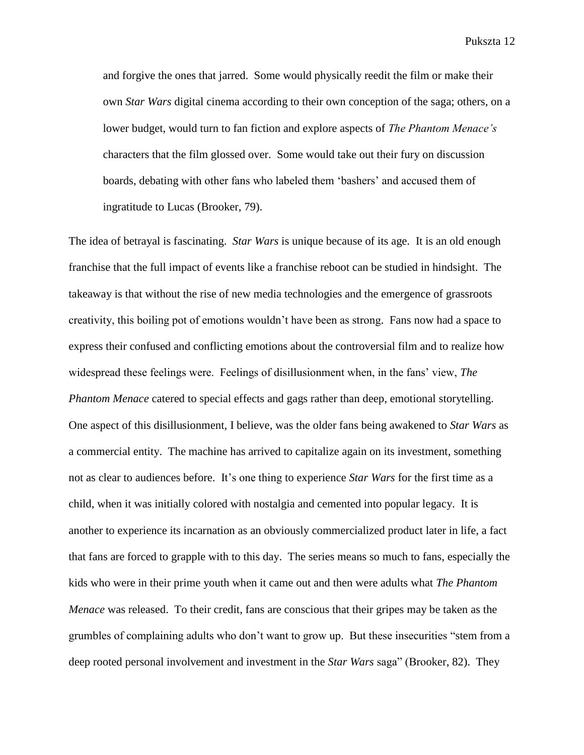and forgive the ones that jarred. Some would physically reedit the film or make their own *Star Wars* digital cinema according to their own conception of the saga; others, on a lower budget, would turn to fan fiction and explore aspects of *The Phantom Menace's* characters that the film glossed over. Some would take out their fury on discussion boards, debating with other fans who labeled them 'bashers' and accused them of ingratitude to Lucas (Brooker, 79).

The idea of betrayal is fascinating. *Star Wars* is unique because of its age. It is an old enough franchise that the full impact of events like a franchise reboot can be studied in hindsight. The takeaway is that without the rise of new media technologies and the emergence of grassroots creativity, this boiling pot of emotions wouldn't have been as strong. Fans now had a space to express their confused and conflicting emotions about the controversial film and to realize how widespread these feelings were. Feelings of disillusionment when, in the fans' view, *The Phantom Menace* catered to special effects and gags rather than deep, emotional storytelling. One aspect of this disillusionment, I believe, was the older fans being awakened to *Star Wars* as a commercial entity. The machine has arrived to capitalize again on its investment, something not as clear to audiences before. It's one thing to experience *Star Wars* for the first time as a child, when it was initially colored with nostalgia and cemented into popular legacy. It is another to experience its incarnation as an obviously commercialized product later in life, a fact that fans are forced to grapple with to this day. The series means so much to fans, especially the kids who were in their prime youth when it came out and then were adults what *The Phantom Menace* was released. To their credit, fans are conscious that their gripes may be taken as the grumbles of complaining adults who don't want to grow up. But these insecurities "stem from a deep rooted personal involvement and investment in the *Star Wars* saga" (Brooker, 82). They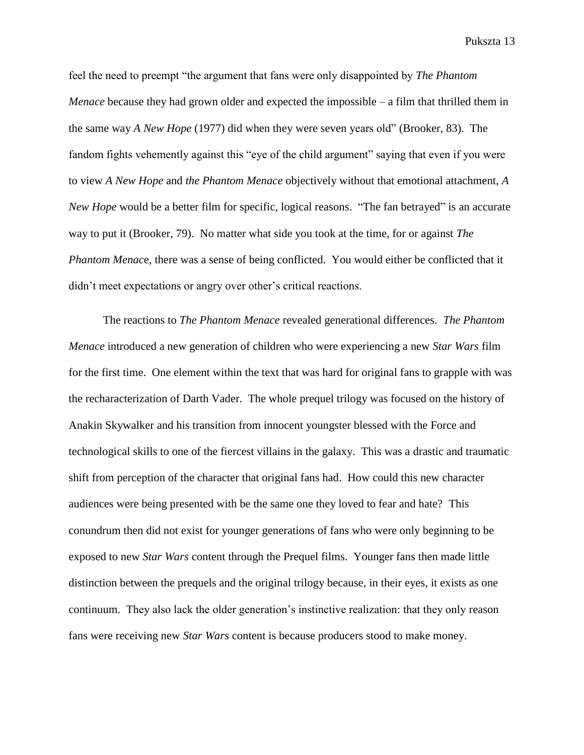feel the need to preempt "the argument that fans were only disappointed by *The Phantom Menace* because they had grown older and expected the impossible – a film that thrilled them in the same way *A New Hope* (1977) did when they were seven years old" (Brooker, 83). The fandom fights vehemently against this "eye of the child argument" saying that even if you were to view *A New Hope* and *the Phantom Menace* objectively without that emotional attachment, *A New Hope* would be a better film for specific, logical reasons. "The fan betrayed" is an accurate way to put it (Brooker, 79). No matter what side you took at the time, for or against *The Phantom Menac*e, there was a sense of being conflicted. You would either be conflicted that it didn't meet expectations or angry over other's critical reactions.

The reactions to *The Phantom Menace* revealed generational differences. *The Phantom Menace* introduced a new generation of children who were experiencing a new *Star Wars* film for the first time. One element within the text that was hard for original fans to grapple with was the recharacterization of Darth Vader. The whole prequel trilogy was focused on the history of Anakin Skywalker and his transition from innocent youngster blessed with the Force and technological skills to one of the fiercest villains in the galaxy. This was a drastic and traumatic shift from perception of the character that original fans had. How could this new character audiences were being presented with be the same one they loved to fear and hate? This conundrum then did not exist for younger generations of fans who were only beginning to be exposed to new *Star Wars* content through the Prequel films. Younger fans then made little distinction between the prequels and the original trilogy because, in their eyes, it exists as one continuum. They also lack the older generation's instinctive realization: that they only reason fans were receiving new *Star Wars* content is because producers stood to make money.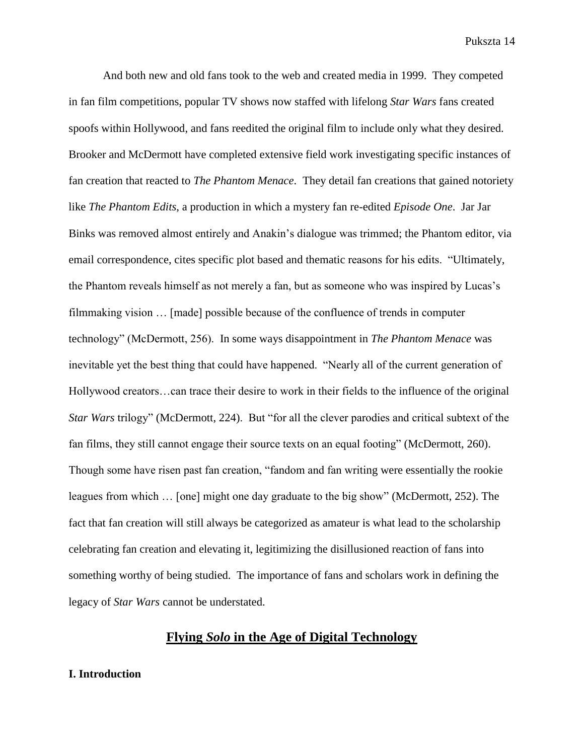And both new and old fans took to the web and created media in 1999. They competed in fan film competitions, popular TV shows now staffed with lifelong *Star Wars* fans created spoofs within Hollywood, and fans reedited the original film to include only what they desired. Brooker and McDermott have completed extensive field work investigating specific instances of fan creation that reacted to *The Phantom Menace*. They detail fan creations that gained notoriety like *The Phantom Edits*, a production in which a mystery fan re-edited *Episode One*. Jar Jar Binks was removed almost entirely and Anakin's dialogue was trimmed; the Phantom editor, via email correspondence, cites specific plot based and thematic reasons for his edits. "Ultimately, the Phantom reveals himself as not merely a fan, but as someone who was inspired by Lucas's filmmaking vision … [made] possible because of the confluence of trends in computer technology" (McDermott, 256). In some ways disappointment in *The Phantom Menace* was inevitable yet the best thing that could have happened. "Nearly all of the current generation of Hollywood creators…can trace their desire to work in their fields to the influence of the original *Star Wars* trilogy" (McDermott, 224). But "for all the clever parodies and critical subtext of the fan films, they still cannot engage their source texts on an equal footing" (McDermott, 260). Though some have risen past fan creation, "fandom and fan writing were essentially the rookie leagues from which … [one] might one day graduate to the big show" (McDermott, 252). The fact that fan creation will still always be categorized as amateur is what lead to the scholarship celebrating fan creation and elevating it, legitimizing the disillusioned reaction of fans into something worthy of being studied. The importance of fans and scholars work in defining the legacy of *Star Wars* cannot be understated.

# **Flying** *Solo* **in the Age of Digital Technology**

#### **I. Introduction**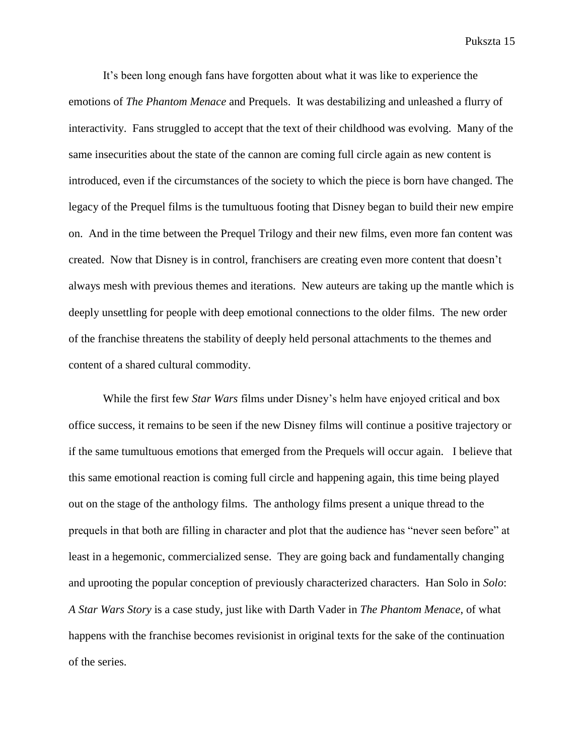It's been long enough fans have forgotten about what it was like to experience the emotions of *The Phantom Menace* and Prequels. It was destabilizing and unleashed a flurry of interactivity. Fans struggled to accept that the text of their childhood was evolving. Many of the same insecurities about the state of the cannon are coming full circle again as new content is introduced, even if the circumstances of the society to which the piece is born have changed. The legacy of the Prequel films is the tumultuous footing that Disney began to build their new empire on. And in the time between the Prequel Trilogy and their new films, even more fan content was created. Now that Disney is in control, franchisers are creating even more content that doesn't always mesh with previous themes and iterations. New auteurs are taking up the mantle which is deeply unsettling for people with deep emotional connections to the older films. The new order of the franchise threatens the stability of deeply held personal attachments to the themes and content of a shared cultural commodity.

While the first few *Star Wars* films under Disney's helm have enjoyed critical and box office success, it remains to be seen if the new Disney films will continue a positive trajectory or if the same tumultuous emotions that emerged from the Prequels will occur again. I believe that this same emotional reaction is coming full circle and happening again, this time being played out on the stage of the anthology films. The anthology films present a unique thread to the prequels in that both are filling in character and plot that the audience has "never seen before" at least in a hegemonic, commercialized sense. They are going back and fundamentally changing and uprooting the popular conception of previously characterized characters. Han Solo in *Solo*: *A Star Wars Story* is a case study, just like with Darth Vader in *The Phantom Menace*, of what happens with the franchise becomes revisionist in original texts for the sake of the continuation of the series.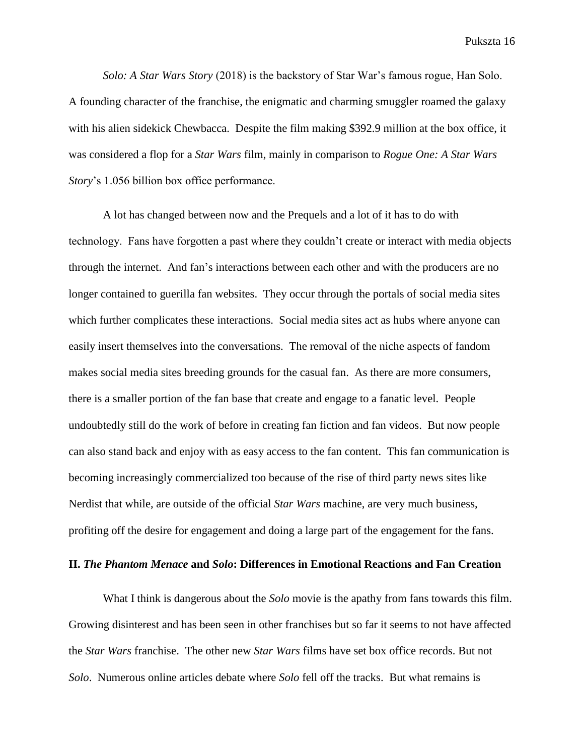*Solo: A Star Wars Story* (2018) is the backstory of Star War's famous rogue, Han Solo. A founding character of the franchise, the enigmatic and charming smuggler roamed the galaxy with his alien sidekick Chewbacca. Despite the film making \$392.9 million at the box office, it was considered a flop for a *Star Wars* film, mainly in comparison to *Rogue One: A Star Wars Story*'s 1.056 billion box office performance.

A lot has changed between now and the Prequels and a lot of it has to do with technology. Fans have forgotten a past where they couldn't create or interact with media objects through the internet. And fan's interactions between each other and with the producers are no longer contained to guerilla fan websites. They occur through the portals of social media sites which further complicates these interactions. Social media sites act as hubs where anyone can easily insert themselves into the conversations. The removal of the niche aspects of fandom makes social media sites breeding grounds for the casual fan. As there are more consumers, there is a smaller portion of the fan base that create and engage to a fanatic level. People undoubtedly still do the work of before in creating fan fiction and fan videos. But now people can also stand back and enjoy with as easy access to the fan content. This fan communication is becoming increasingly commercialized too because of the rise of third party news sites like Nerdist that while, are outside of the official *Star Wars* machine, are very much business, profiting off the desire for engagement and doing a large part of the engagement for the fans.

#### **II.** *The Phantom Menace* **and** *Solo***: Differences in Emotional Reactions and Fan Creation**

What I think is dangerous about the *Solo* movie is the apathy from fans towards this film. Growing disinterest and has been seen in other franchises but so far it seems to not have affected the *Star Wars* franchise. The other new *Star Wars* films have set box office records. But not *Solo*. Numerous online articles debate where *Solo* fell off the tracks. But what remains is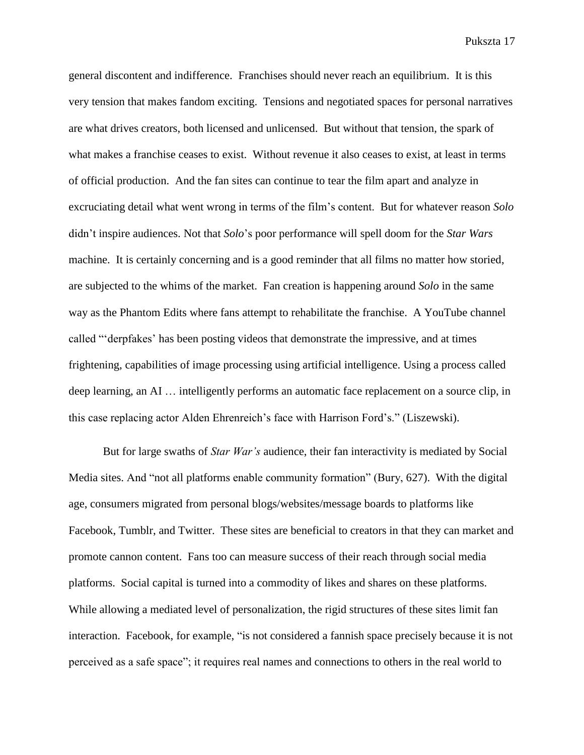general discontent and indifference. Franchises should never reach an equilibrium. It is this very tension that makes fandom exciting. Tensions and negotiated spaces for personal narratives are what drives creators, both licensed and unlicensed. But without that tension, the spark of what makes a franchise ceases to exist. Without revenue it also ceases to exist, at least in terms of official production. And the fan sites can continue to tear the film apart and analyze in excruciating detail what went wrong in terms of the film's content. But for whatever reason *Solo* didn't inspire audiences. Not that *Solo*'s poor performance will spell doom for the *Star Wars* machine. It is certainly concerning and is a good reminder that all films no matter how storied, are subjected to the whims of the market. Fan creation is happening around *Solo* in the same way as the Phantom Edits where fans attempt to rehabilitate the franchise. A YouTube channel called "'derpfakes' has been posting videos that demonstrate the impressive, and at times frightening, capabilities of image processing using artificial intelligence. Using a process called deep learning, an AI … intelligently performs an automatic face replacement on a source clip, in this case replacing actor Alden Ehrenreich's face with Harrison Ford's." (Liszewski).

But for large swaths of *Star War's* audience, their fan interactivity is mediated by Social Media sites. And "not all platforms enable community formation" (Bury, 627). With the digital age, consumers migrated from personal blogs/websites/message boards to platforms like Facebook, Tumblr, and Twitter. These sites are beneficial to creators in that they can market and promote cannon content. Fans too can measure success of their reach through social media platforms. Social capital is turned into a commodity of likes and shares on these platforms. While allowing a mediated level of personalization, the rigid structures of these sites limit fan interaction. Facebook, for example, "is not considered a fannish space precisely because it is not perceived as a safe space"; it requires real names and connections to others in the real world to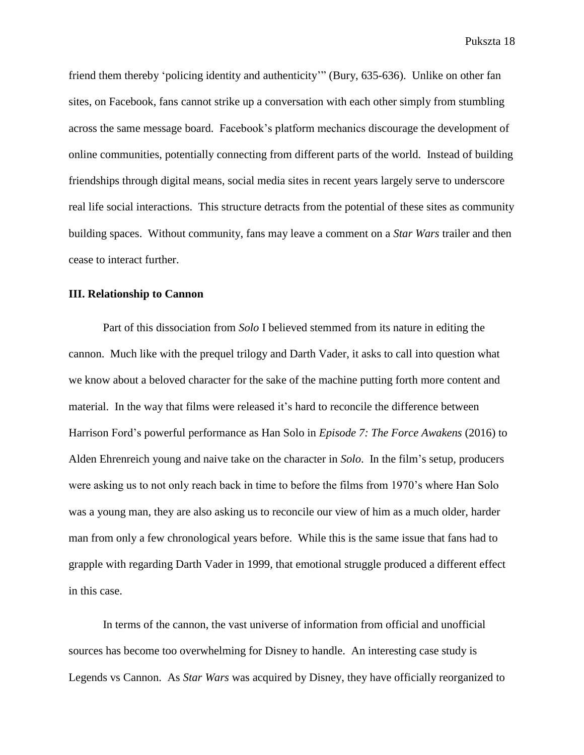friend them thereby 'policing identity and authenticity'" (Bury, 635-636). Unlike on other fan sites, on Facebook, fans cannot strike up a conversation with each other simply from stumbling across the same message board. Facebook's platform mechanics discourage the development of online communities, potentially connecting from different parts of the world. Instead of building friendships through digital means, social media sites in recent years largely serve to underscore real life social interactions. This structure detracts from the potential of these sites as community building spaces. Without community, fans may leave a comment on a *Star Wars* trailer and then cease to interact further.

#### **III. Relationship to Cannon**

Part of this dissociation from *Solo* I believed stemmed from its nature in editing the cannon. Much like with the prequel trilogy and Darth Vader, it asks to call into question what we know about a beloved character for the sake of the machine putting forth more content and material. In the way that films were released it's hard to reconcile the difference between Harrison Ford's powerful performance as Han Solo in *Episode 7: The Force Awakens* (2016) to Alden Ehrenreich young and naive take on the character in *Solo*. In the film's setup, producers were asking us to not only reach back in time to before the films from 1970's where Han Solo was a young man, they are also asking us to reconcile our view of him as a much older, harder man from only a few chronological years before. While this is the same issue that fans had to grapple with regarding Darth Vader in 1999, that emotional struggle produced a different effect in this case.

In terms of the cannon, the vast universe of information from official and unofficial sources has become too overwhelming for Disney to handle. An interesting case study is Legends vs Cannon. As *Star Wars* was acquired by Disney, they have officially reorganized to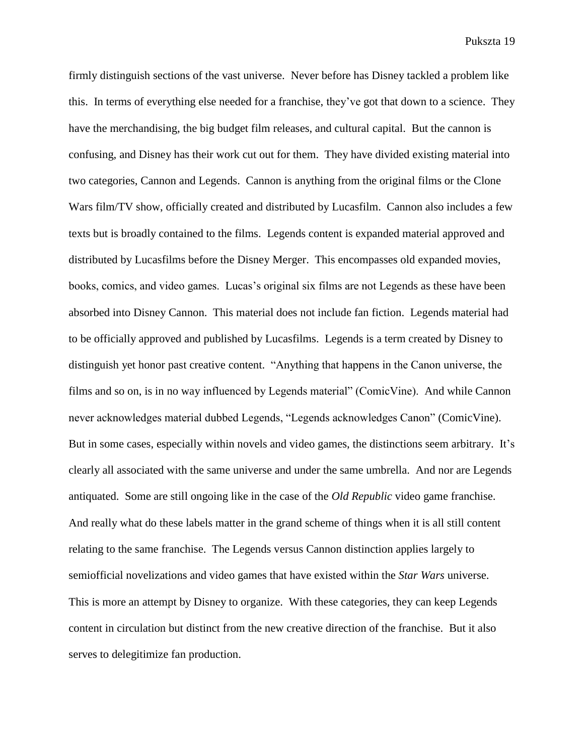firmly distinguish sections of the vast universe. Never before has Disney tackled a problem like this. In terms of everything else needed for a franchise, they've got that down to a science. They have the merchandising, the big budget film releases, and cultural capital. But the cannon is confusing, and Disney has their work cut out for them. They have divided existing material into two categories, Cannon and Legends. Cannon is anything from the original films or the Clone Wars film/TV show, officially created and distributed by Lucasfilm. Cannon also includes a few texts but is broadly contained to the films. Legends content is expanded material approved and distributed by Lucasfilms before the Disney Merger. This encompasses old expanded movies, books, comics, and video games. Lucas's original six films are not Legends as these have been absorbed into Disney Cannon. This material does not include fan fiction. Legends material had to be officially approved and published by Lucasfilms. Legends is a term created by Disney to distinguish yet honor past creative content. "Anything that happens in the Canon universe, the films and so on, is in no way influenced by Legends material" (ComicVine). And while Cannon never acknowledges material dubbed Legends, "Legends acknowledges Canon" (ComicVine). But in some cases, especially within novels and video games, the distinctions seem arbitrary. It's clearly all associated with the same universe and under the same umbrella. And nor are Legends antiquated. Some are still ongoing like in the case of the *Old Republic* video game franchise. And really what do these labels matter in the grand scheme of things when it is all still content relating to the same franchise. The Legends versus Cannon distinction applies largely to semiofficial novelizations and video games that have existed within the *Star Wars* universe. This is more an attempt by Disney to organize. With these categories, they can keep Legends content in circulation but distinct from the new creative direction of the franchise. But it also serves to delegitimize fan production.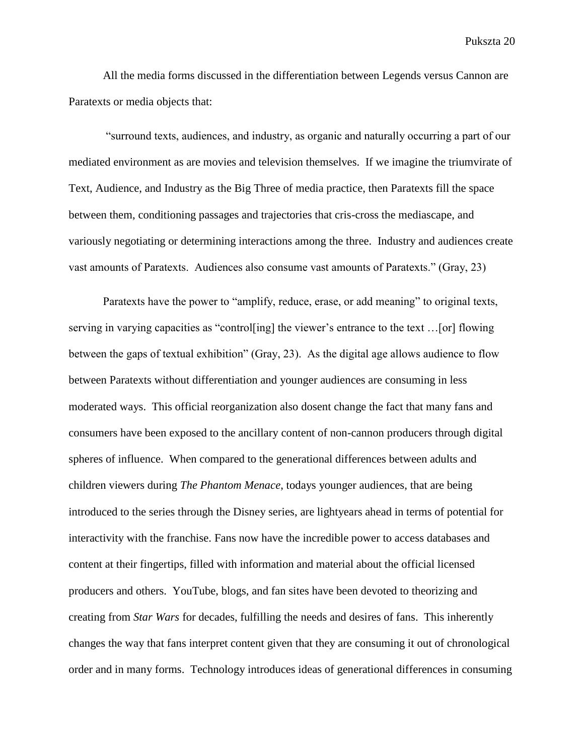All the media forms discussed in the differentiation between Legends versus Cannon are Paratexts or media objects that:

"surround texts, audiences, and industry, as organic and naturally occurring a part of our mediated environment as are movies and television themselves. If we imagine the triumvirate of Text, Audience, and Industry as the Big Three of media practice, then Paratexts fill the space between them, conditioning passages and trajectories that cris-cross the mediascape, and variously negotiating or determining interactions among the three. Industry and audiences create vast amounts of Paratexts. Audiences also consume vast amounts of Paratexts." (Gray, 23)

Paratexts have the power to "amplify, reduce, erase, or add meaning" to original texts, serving in varying capacities as "control[ing] the viewer's entrance to the text …[or] flowing between the gaps of textual exhibition" (Gray, 23). As the digital age allows audience to flow between Paratexts without differentiation and younger audiences are consuming in less moderated ways. This official reorganization also dosent change the fact that many fans and consumers have been exposed to the ancillary content of non-cannon producers through digital spheres of influence. When compared to the generational differences between adults and children viewers during *The Phantom Menace*, todays younger audiences, that are being introduced to the series through the Disney series, are lightyears ahead in terms of potential for interactivity with the franchise. Fans now have the incredible power to access databases and content at their fingertips, filled with information and material about the official licensed producers and others. YouTube, blogs, and fan sites have been devoted to theorizing and creating from *Star Wars* for decades, fulfilling the needs and desires of fans. This inherently changes the way that fans interpret content given that they are consuming it out of chronological order and in many forms. Technology introduces ideas of generational differences in consuming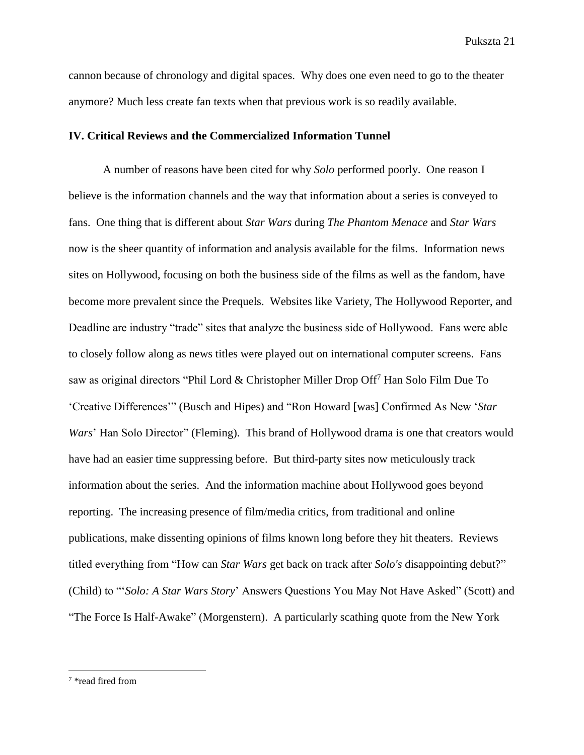cannon because of chronology and digital spaces. Why does one even need to go to the theater anymore? Much less create fan texts when that previous work is so readily available.

#### **IV. Critical Reviews and the Commercialized Information Tunnel**

A number of reasons have been cited for why *Solo* performed poorly. One reason I believe is the information channels and the way that information about a series is conveyed to fans. One thing that is different about *Star Wars* during *The Phantom Menace* and *Star Wars* now is the sheer quantity of information and analysis available for the films. Information news sites on Hollywood, focusing on both the business side of the films as well as the fandom, have become more prevalent since the Prequels. Websites like Variety, The Hollywood Reporter, and Deadline are industry "trade" sites that analyze the business side of Hollywood. Fans were able to closely follow along as news titles were played out on international computer screens. Fans saw as original directors "Phil Lord & Christopher Miller Drop Off<sup>7</sup> Han Solo Film Due To 'Creative Differences'" (Busch and Hipes) and "Ron Howard [was] Confirmed As New '*Star Wars*' Han Solo Director" (Fleming). This brand of Hollywood drama is one that creators would have had an easier time suppressing before. But third-party sites now meticulously track information about the series. And the information machine about Hollywood goes beyond reporting. The increasing presence of film/media critics, from traditional and online publications, make dissenting opinions of films known long before they hit theaters. Reviews titled everything from "How can *Star Wars* get back on track after *Solo's* disappointing debut?" (Child) to "'*Solo: A Star Wars Story*' Answers Questions You May Not Have Asked" (Scott) and "The Force Is Half-Awake" (Morgenstern). A particularly scathing quote from the New York

 $\overline{\phantom{a}}$ 

<sup>7</sup> \*read fired from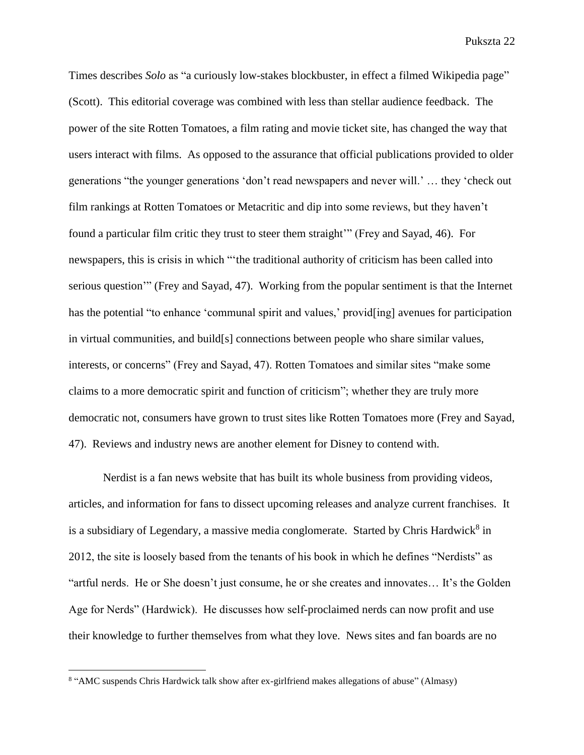Times describes *Solo* as "a curiously low-stakes blockbuster, in effect a filmed Wikipedia page" (Scott). This editorial coverage was combined with less than stellar audience feedback. The power of the site Rotten Tomatoes, a film rating and movie ticket site, has changed the way that users interact with films. As opposed to the assurance that official publications provided to older generations "the younger generations 'don't read newspapers and never will.' … they 'check out film rankings at Rotten Tomatoes or Metacritic and dip into some reviews, but they haven't found a particular film critic they trust to steer them straight'" (Frey and Sayad, 46). For newspapers, this is crisis in which "'the traditional authority of criticism has been called into serious question'" (Frey and Sayad, 47). Working from the popular sentiment is that the Internet has the potential "to enhance 'communal spirit and values,' providently avenues for participation in virtual communities, and build[s] connections between people who share similar values, interests, or concerns" (Frey and Sayad, 47). Rotten Tomatoes and similar sites "make some claims to a more democratic spirit and function of criticism"; whether they are truly more democratic not, consumers have grown to trust sites like Rotten Tomatoes more (Frey and Sayad, 47). Reviews and industry news are another element for Disney to contend with.

Nerdist is a fan news website that has built its whole business from providing videos, articles, and information for fans to dissect upcoming releases and analyze current franchises. It is a subsidiary of Legendary, a massive media conglomerate. Started by Chris Hardwick<sup>8</sup> in 2012, the site is loosely based from the tenants of his book in which he defines "Nerdists" as "artful nerds. He or She doesn't just consume, he or she creates and innovates… It's the Golden Age for Nerds" (Hardwick). He discusses how self-proclaimed nerds can now profit and use their knowledge to further themselves from what they love. News sites and fan boards are no

 $\overline{\phantom{a}}$ 

<sup>8</sup> "AMC suspends Chris Hardwick talk show after ex-girlfriend makes allegations of abuse" (Almasy)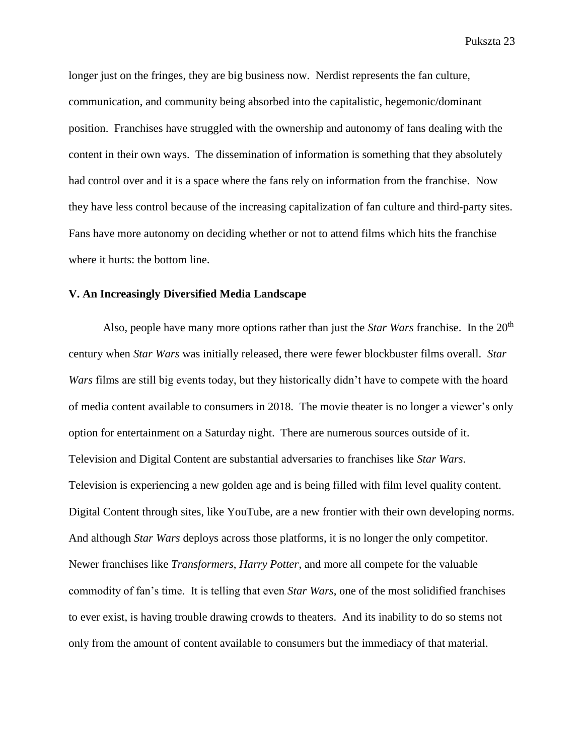longer just on the fringes, they are big business now. Nerdist represents the fan culture, communication, and community being absorbed into the capitalistic, hegemonic/dominant position. Franchises have struggled with the ownership and autonomy of fans dealing with the content in their own ways. The dissemination of information is something that they absolutely had control over and it is a space where the fans rely on information from the franchise. Now they have less control because of the increasing capitalization of fan culture and third-party sites. Fans have more autonomy on deciding whether or not to attend films which hits the franchise where it hurts: the bottom line.

#### **V. An Increasingly Diversified Media Landscape**

Also, people have many more options rather than just the *Star Wars* franchise. In the 20<sup>th</sup> century when *Star Wars* was initially released, there were fewer blockbuster films overall. *Star Wars* films are still big events today, but they historically didn't have to compete with the hoard of media content available to consumers in 2018. The movie theater is no longer a viewer's only option for entertainment on a Saturday night. There are numerous sources outside of it. Television and Digital Content are substantial adversaries to franchises like *Star Wars*. Television is experiencing a new golden age and is being filled with film level quality content. Digital Content through sites, like YouTube, are a new frontier with their own developing norms. And although *Star Wars* deploys across those platforms, it is no longer the only competitor. Newer franchises like *Transformers*, *Harry Potter*, and more all compete for the valuable commodity of fan's time. It is telling that even *Star Wars*, one of the most solidified franchises to ever exist, is having trouble drawing crowds to theaters. And its inability to do so stems not only from the amount of content available to consumers but the immediacy of that material.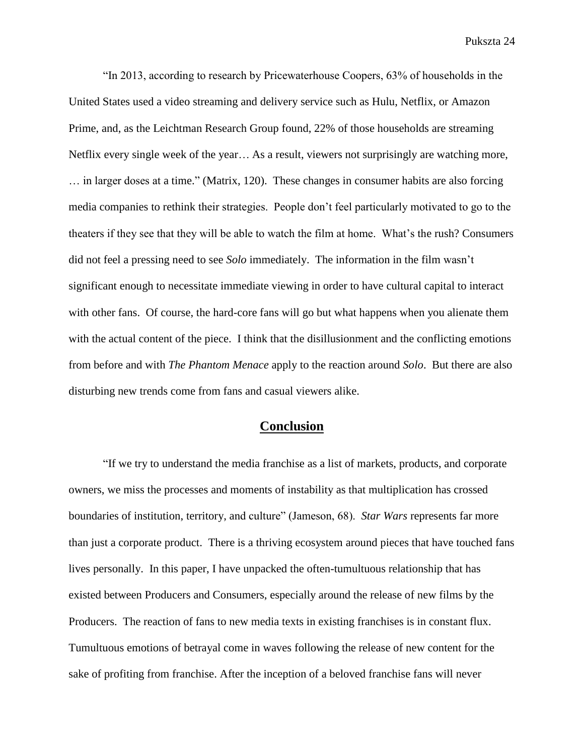"In 2013, according to research by Pricewaterhouse Coopers, 63% of households in the United States used a video streaming and delivery service such as Hulu, Netflix, or Amazon Prime, and, as the Leichtman Research Group found, 22% of those households are streaming Netflix every single week of the year… As a result, viewers not surprisingly are watching more, … in larger doses at a time." (Matrix, 120). These changes in consumer habits are also forcing media companies to rethink their strategies. People don't feel particularly motivated to go to the theaters if they see that they will be able to watch the film at home. What's the rush? Consumers did not feel a pressing need to see *Solo* immediately. The information in the film wasn't significant enough to necessitate immediate viewing in order to have cultural capital to interact with other fans. Of course, the hard-core fans will go but what happens when you alienate them with the actual content of the piece. I think that the disillusionment and the conflicting emotions from before and with *The Phantom Menace* apply to the reaction around *Solo*. But there are also disturbing new trends come from fans and casual viewers alike.

#### **Conclusion**

"If we try to understand the media franchise as a list of markets, products, and corporate owners, we miss the processes and moments of instability as that multiplication has crossed boundaries of institution, territory, and culture" (Jameson, 68). *Star Wars* represents far more than just a corporate product. There is a thriving ecosystem around pieces that have touched fans lives personally. In this paper, I have unpacked the often-tumultuous relationship that has existed between Producers and Consumers, especially around the release of new films by the Producers. The reaction of fans to new media texts in existing franchises is in constant flux. Tumultuous emotions of betrayal come in waves following the release of new content for the sake of profiting from franchise. After the inception of a beloved franchise fans will never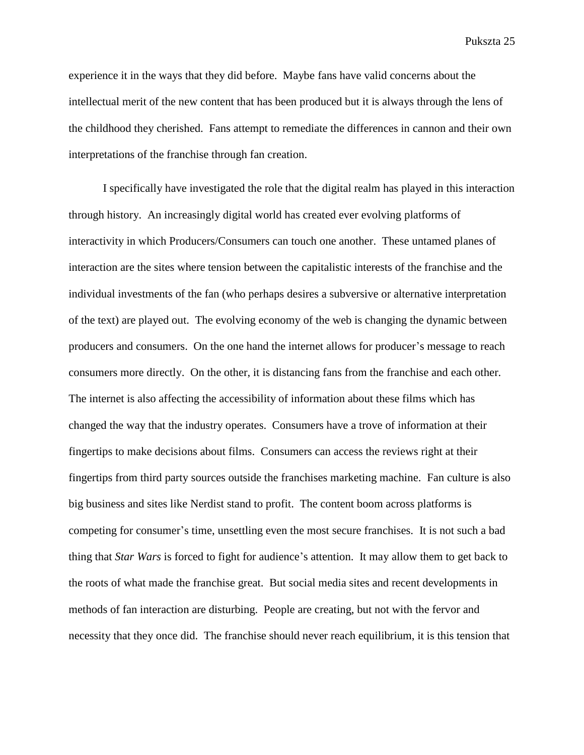experience it in the ways that they did before. Maybe fans have valid concerns about the intellectual merit of the new content that has been produced but it is always through the lens of the childhood they cherished. Fans attempt to remediate the differences in cannon and their own interpretations of the franchise through fan creation.

I specifically have investigated the role that the digital realm has played in this interaction through history. An increasingly digital world has created ever evolving platforms of interactivity in which Producers/Consumers can touch one another. These untamed planes of interaction are the sites where tension between the capitalistic interests of the franchise and the individual investments of the fan (who perhaps desires a subversive or alternative interpretation of the text) are played out. The evolving economy of the web is changing the dynamic between producers and consumers. On the one hand the internet allows for producer's message to reach consumers more directly. On the other, it is distancing fans from the franchise and each other. The internet is also affecting the accessibility of information about these films which has changed the way that the industry operates. Consumers have a trove of information at their fingertips to make decisions about films. Consumers can access the reviews right at their fingertips from third party sources outside the franchises marketing machine. Fan culture is also big business and sites like Nerdist stand to profit. The content boom across platforms is competing for consumer's time, unsettling even the most secure franchises. It is not such a bad thing that *Star Wars* is forced to fight for audience's attention. It may allow them to get back to the roots of what made the franchise great. But social media sites and recent developments in methods of fan interaction are disturbing. People are creating, but not with the fervor and necessity that they once did. The franchise should never reach equilibrium, it is this tension that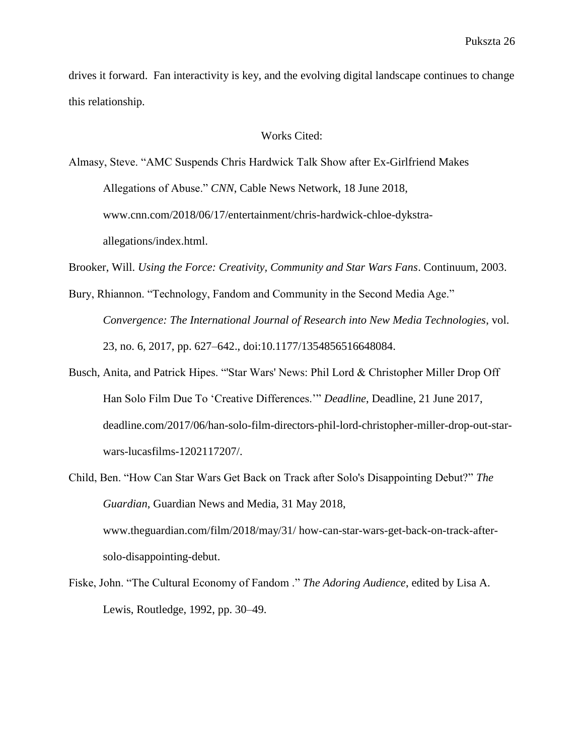drives it forward. Fan interactivity is key, and the evolving digital landscape continues to change this relationship.

#### Works Cited:

Almasy, Steve. "AMC Suspends Chris Hardwick Talk Show after Ex-Girlfriend Makes Allegations of Abuse." *CNN*, Cable News Network, 18 June 2018, www.cnn.com/2018/06/17/entertainment/chris-hardwick-chloe-dykstraallegations/index.html.

Brooker, Will. *Using the Force: Creativity, Community and Star Wars Fans*. Continuum, 2003.

- Bury, Rhiannon. "Technology, Fandom and Community in the Second Media Age." *Convergence: The International Journal of Research into New Media Technologies*, vol. 23, no. 6, 2017, pp. 627–642., doi:10.1177/1354856516648084.
- Busch, Anita, and Patrick Hipes. "'Star Wars' News: Phil Lord & Christopher Miller Drop Off Han Solo Film Due To 'Creative Differences.'" *Deadline*, Deadline, 21 June 2017, deadline.com/2017/06/han-solo-film-directors-phil-lord-christopher-miller-drop-out-starwars-lucasfilms-1202117207/.
- Child, Ben. "How Can Star Wars Get Back on Track after Solo's Disappointing Debut?" *The Guardian*, Guardian News and Media, 31 May 2018, www.theguardian.com/film/2018/may/31/ how-can-star-wars-get-back-on-track-aftersolo-disappointing-debut.
- Fiske, John. "The Cultural Economy of Fandom ." *The Adoring Audience*, edited by Lisa A. Lewis, Routledge, 1992, pp. 30–49.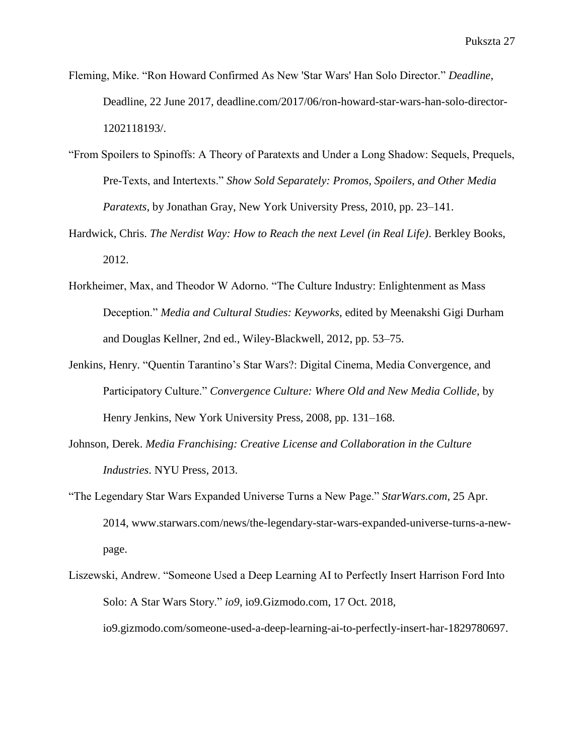- Fleming, Mike. "Ron Howard Confirmed As New 'Star Wars' Han Solo Director." *Deadline*, Deadline, 22 June 2017, deadline.com/2017/06/ron-howard-star-wars-han-solo-director-1202118193/.
- "From Spoilers to Spinoffs: A Theory of Paratexts and Under a Long Shadow: Sequels, Prequels, Pre-Texts, and Intertexts." *Show Sold Separately: Promos, Spoilers, and Other Media Paratexts*, by Jonathan Gray, New York University Press, 2010, pp. 23–141.
- Hardwick, Chris. *The Nerdist Way: How to Reach the next Level (in Real Life)*. Berkley Books, 2012.
- Horkheimer, Max, and Theodor W Adorno. "The Culture Industry: Enlightenment as Mass Deception." *Media and Cultural Studies: Keyworks*, edited by Meenakshi Gigi Durham and Douglas Kellner, 2nd ed., Wiley-Blackwell, 2012, pp. 53–75.
- Jenkins, Henry. "Quentin Tarantino's Star Wars?: Digital Cinema, Media Convergence, and Participatory Culture." *Convergence Culture: Where Old and New Media Collide*, by Henry Jenkins, New York University Press, 2008, pp. 131–168.
- Johnson, Derek. *Media Franchising: Creative License and Collaboration in the Culture Industries*. NYU Press, 2013.
- "The Legendary Star Wars Expanded Universe Turns a New Page." *StarWars.com*, 25 Apr. 2014, www.starwars.com/news/the-legendary-star-wars-expanded-universe-turns-a-newpage.
- Liszewski, Andrew. "Someone Used a Deep Learning AI to Perfectly Insert Harrison Ford Into Solo: A Star Wars Story." *io9*, io9.Gizmodo.com, 17 Oct. 2018, io9.gizmodo.com/someone-used-a-deep-learning-ai-to-perfectly-insert-har-1829780697.